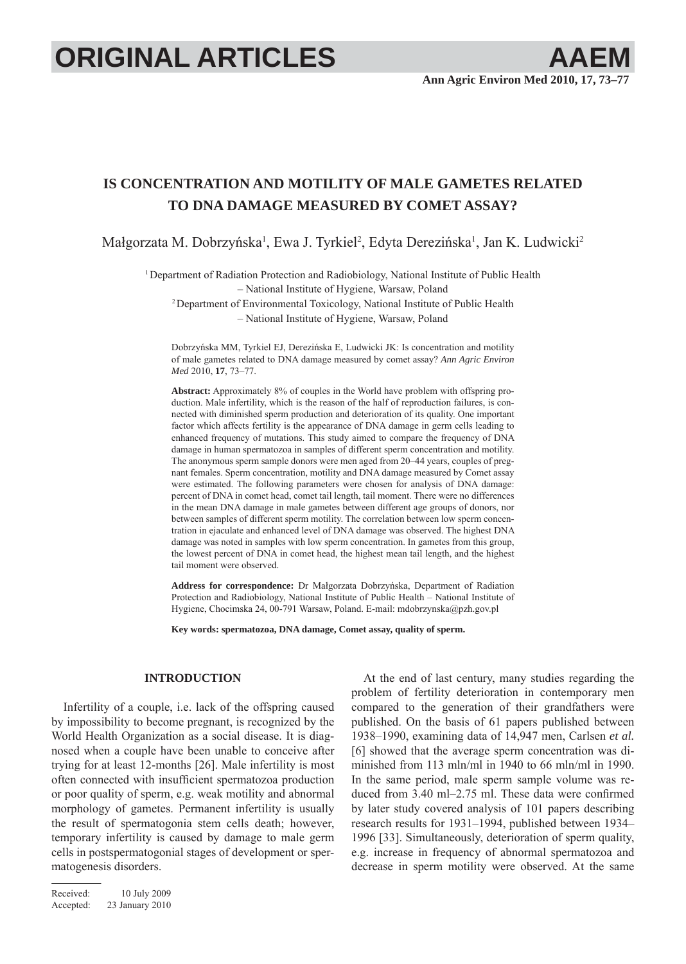# **ORIGINAL ARTICLES AAEM**

# **IS CONCENTRATION AND MOTILITY OF MALE GAMETES RELATED TO DNA DAMAGE MEASURED BY COMET ASSAY?**

Małgorzata M. Dobrzyńska<sup>1</sup>, Ewa J. Tyrkiel<sup>2</sup>, Edyta Derezińska<sup>1</sup>, Jan K. Ludwicki<sup>2</sup>

<sup>1</sup>Department of Radiation Protection and Radiobiology, National Institute of Public Health – National Institute of Hygiene, Warsaw, Poland <sup>2</sup> Department of Environmental Toxicology, National Institute of Public Health – National Institute of Hygiene, Warsaw, Poland

Dobrzyńska MM, Tyrkiel EJ, Derezińska E, Ludwicki JK: Is concentration and motility of male gametes related to DNA damage measured by comet assay? *Ann Agric Environ Med* 2010, **17**, 73–77.

**Abstract:** Approximately 8% of couples in the World have problem with offspring production. Male infertility, which is the reason of the half of reproduction failures, is connected with diminished sperm production and deterioration of its quality. One important factor which affects fertility is the appearance of DNA damage in germ cells leading to enhanced frequency of mutations. This study aimed to compare the frequency of DNA damage in human spermatozoa in samples of different sperm concentration and motility. The anonymous sperm sample donors were men aged from 20–44 years, couples of pregnant females. Sperm concentration, motility and DNA damage measured by Comet assay were estimated. The following parameters were chosen for analysis of DNA damage: percent of DNA in comet head, comet tail length, tail moment. There were no differences in the mean DNA damage in male gametes between different age groups of donors, nor between samples of different sperm motility. The correlation between low sperm concentration in ejaculate and enhanced level of DNA damage was observed. The highest DNA damage was noted in samples with low sperm concentration. In gametes from this group, the lowest percent of DNA in comet head, the highest mean tail length, and the highest tail moment were observed.

**Address for correspondence:** Dr Małgorzata Dobrzyńska, Department of Radiation Protection and Radiobiology, National Institute of Public Health – National Institute of Hygiene, Chocimska 24, 00-791 Warsaw, Poland. E-mail: mdobrzynska@pzh.gov.pl

**Key words: spermatozoa, DNA damage, Comet assay, quality of sperm.**

## **INTRODUCTION**

Infertility of a couple, i.e. lack of the offspring caused by impossibility to become pregnant, is recognized by the World Health Organization as a social disease. It is diagnosed when a couple have been unable to conceive after trying for at least 12-months [26]. Male infertility is most often connected with insufficient spermatozoa production or poor quality of sperm, e.g. weak motility and abnormal morphology of gametes. Permanent infertility is usually the result of spermatogonia stem cells death; however, temporary infertility is caused by damage to male germ cells in postspermatogonial stages of development or spermatogenesis disorders.

Received: 10 July 2009 Accepted: 23 January 2010

At the end of last century, many studies regarding the problem of fertility deterioration in contemporary men compared to the generation of their grandfathers were published. On the basis of 61 papers published between 1938–1990, examining data of 14,947 men, Carlsen *et al.* [6] showed that the average sperm concentration was diminished from 113 mln/ml in 1940 to 66 mln/ml in 1990. In the same period, male sperm sample volume was reduced from  $3.40$  ml $-2.75$  ml. These data were confirmed by later study covered analysis of 101 papers describing research results for 1931–1994, published between 1934– 1996 [33]. Simultaneously, deterioration of sperm quality, e.g. increase in frequency of abnormal spermatozoa and decrease in sperm motility were observed. At the same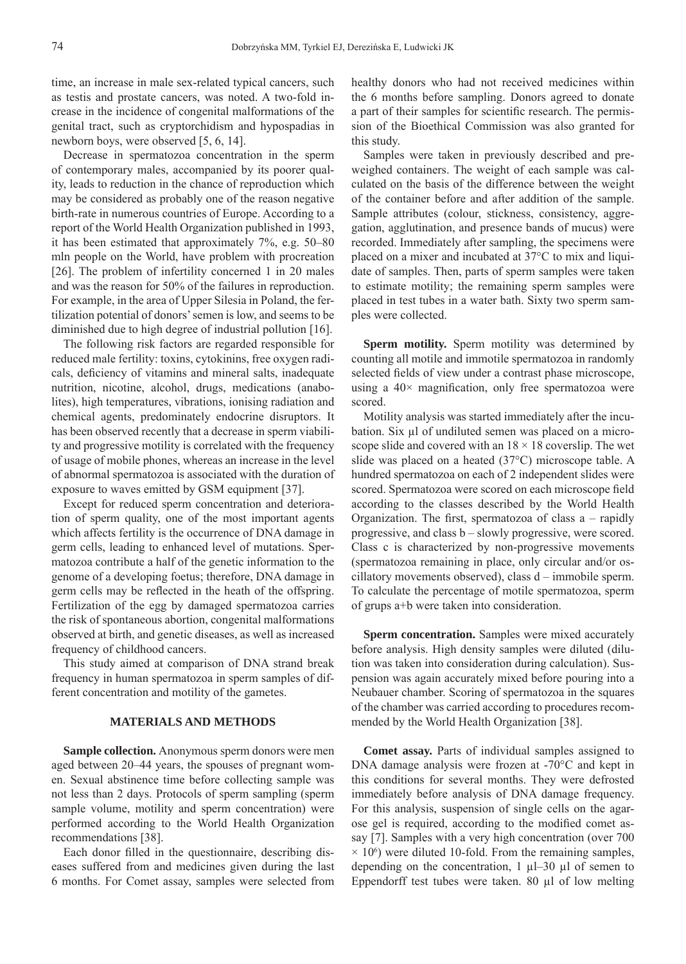time, an increase in male sex-related typical cancers, such as testis and prostate cancers, was noted. A two-fold increase in the incidence of congenital malformations of the genital tract, such as cryptorchidism and hypospadias in newborn boys, were observed [5, 6, 14].

Decrease in spermatozoa concentration in the sperm of contemporary males, accompanied by its poorer quality, leads to reduction in the chance of reproduction which may be considered as probably one of the reason negative birth-rate in numerous countries of Europe. According to a report of the World Health Organization published in 1993, it has been estimated that approximately 7%, e.g. 50–80 mln people on the World, have problem with procreation [26]. The problem of infertility concerned 1 in 20 males and was the reason for 50% of the failures in reproduction. For example, in the area of Upper Silesia in Poland, the fertilization potential of donors' semen is low, and seems to be diminished due to high degree of industrial pollution [16].

The following risk factors are regarded responsible for reduced male fertility: toxins, cytokinins, free oxygen radicals, deficiency of vitamins and mineral salts, inadequate nutrition, nicotine, alcohol, drugs, medications (anabolites), high temperatures, vibrations, ionising radiation and chemical agents, predominately endocrine disruptors. It has been observed recently that a decrease in sperm viability and progressive motility is correlated with the frequency of usage of mobile phones, whereas an increase in the level of abnormal spermatozoa is associated with the duration of exposure to waves emitted by GSM equipment [37].

Except for reduced sperm concentration and deterioration of sperm quality, one of the most important agents which affects fertility is the occurrence of DNA damage in germ cells, leading to enhanced level of mutations. Spermatozoa contribute a half of the genetic information to the genome of a developing foetus; therefore, DNA damage in germ cells may be reflected in the heath of the offspring. Fertilization of the egg by damaged spermatozoa carries the risk of spontaneous abortion, congenital malformations observed at birth, and genetic diseases, as well as increased frequency of childhood cancers.

This study aimed at comparison of DNA strand break frequency in human spermatozoa in sperm samples of different concentration and motility of the gametes.

# **MATERIALS AND METHODS**

**Sample collection.** Anonymous sperm donors were men aged between 20–44 years, the spouses of pregnant women. Sexual abstinence time before collecting sample was not less than 2 days. Protocols of sperm sampling (sperm sample volume, motility and sperm concentration) were performed according to the World Health Organization recommendations [38].

Each donor filled in the questionnaire, describing diseases suffered from and medicines given during the last 6 months. For Comet assay, samples were selected from healthy donors who had not received medicines within the 6 months before sampling. Donors agreed to donate a part of their samples for scientific research. The permission of the Bioethical Commission was also granted for this study.

Samples were taken in previously described and preweighed containers. The weight of each sample was calculated on the basis of the difference between the weight of the container before and after addition of the sample. Sample attributes (colour, stickness, consistency, aggregation, agglutination, and presence bands of mucus) were recorded. Immediately after sampling, the specimens were placed on a mixer and incubated at 37°C to mix and liquidate of samples. Then, parts of sperm samples were taken to estimate motility; the remaining sperm samples were placed in test tubes in a water bath. Sixty two sperm samples were collected.

**Sperm motility.** Sperm motility was determined by counting all motile and immotile spermatozoa in randomly selected fields of view under a contrast phase microscope, using a  $40\times$  magnification, only free spermatozoa were scored.

Motility analysis was started immediately after the incubation. Six μl of undiluted semen was placed on a microscope slide and covered with an  $18 \times 18$  coverslip. The wet slide was placed on a heated (37°C) microscope table. A hundred spermatozoa on each of 2 independent slides were scored. Spermatozoa were scored on each microscope field according to the classes described by the World Health Organization. The first, spermatozoa of class  $a$  – rapidly progressive, and class b – slowly progressive, were scored. Class c is characterized by non-progressive movements (spermatozoa remaining in place, only circular and/or oscillatory movements observed), class d – immobile sperm. To calculate the percentage of motile spermatozoa, sperm of grups a+b were taken into consideration.

**Sperm concentration.** Samples were mixed accurately before analysis. High density samples were diluted (dilution was taken into consideration during calculation). Suspension was again accurately mixed before pouring into a Neubauer chamber. Scoring of spermatozoa in the squares of the chamber was carried according to procedures recommended by the World Health Organization [38].

**Comet assay.** Parts of individual samples assigned to DNA damage analysis were frozen at -70°C and kept in this conditions for several months. They were defrosted immediately before analysis of DNA damage frequency. For this analysis, suspension of single cells on the agarose gel is required, according to the modified comet assay [7]. Samples with a very high concentration (over 700  $\times$  10<sup>6</sup>) were diluted 10-fold. From the remaining samples, depending on the concentration,  $1 \mu 30 \mu 1$  of semen to Eppendorff test tubes were taken. 80 μl of low melting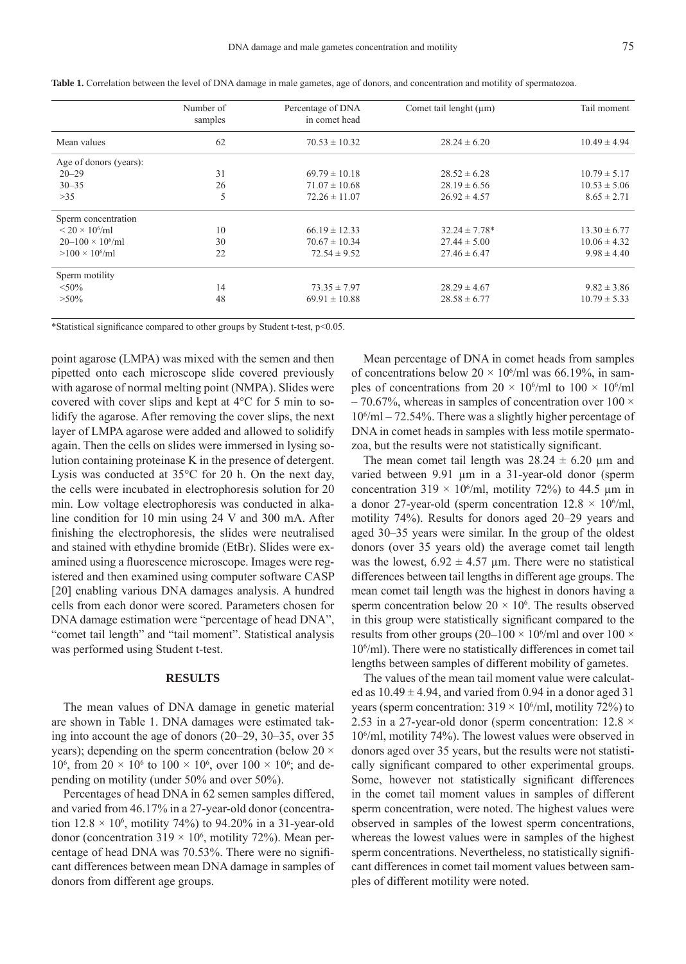|                           | Number of<br>samples | Percentage of DNA<br>in comet head | Comet tail lenght $(\mu m)$ | Tail moment      |
|---------------------------|----------------------|------------------------------------|-----------------------------|------------------|
| Mean values               | 62                   | $70.53 \pm 10.32$                  | $28.24 \pm 6.20$            | $10.49 \pm 4.94$ |
| Age of donors (years):    |                      |                                    |                             |                  |
| $20 - 29$                 | 31                   | $69.79 \pm 10.18$                  | $28.52 \pm 6.28$            | $10.79 \pm 5.17$ |
| $30 - 35$                 | 26                   | $71.07 \pm 10.68$                  | $28.19 \pm 6.56$            | $10.53 \pm 5.06$ |
| $>35$                     | 5                    | $72.26 \pm 11.07$                  | $26.92 \pm 4.57$            | $8.65 \pm 2.71$  |
| Sperm concentration       |                      |                                    |                             |                  |
| $< 20 \times 10^{6}$ /ml  | 10                   | $66.19 \pm 12.33$                  | $32.24 \pm 7.78*$           | $13.30 \pm 6.77$ |
| $20-100 \times 10^{6}$ ml | 30                   | $70.67 \pm 10.34$                  | $27.44 \pm 5.00$            | $10.06 \pm 4.32$ |
| $>100 \times 10^{6}$ /ml  | 22                   | $72.54 \pm 9.52$                   | $27.46 \pm 6.47$            | $9.98 \pm 4.40$  |
| Sperm motility            |                      |                                    |                             |                  |
| $< 50\%$                  | 14                   | $73.35 \pm 7.97$                   | $28.29 \pm 4.67$            | $9.82 \pm 3.86$  |
| $>50\%$                   | 48                   | $69.91 \pm 10.88$                  | $28.58 \pm 6.77$            | $10.79 \pm 5.33$ |

**Table 1.** Correlation between the level of DNA damage in male gametes, age of donors, and concentration and motility of spermatozoa.

\*Statistical significance compared to other groups by Student t-test,  $p<0.05$ .

point agarose (LMPA) was mixed with the semen and then pipetted onto each microscope slide covered previously with agarose of normal melting point (NMPA). Slides were covered with cover slips and kept at 4°C for 5 min to solidify the agarose. After removing the cover slips, the next layer of LMPA agarose were added and allowed to solidify again. Then the cells on slides were immersed in lysing solution containing proteinase K in the presence of detergent. Lysis was conducted at 35°C for 20 h. On the next day, the cells were incubated in electrophoresis solution for 20 min. Low voltage electrophoresis was conducted in alkaline condition for 10 min using 24 V and 300 mA. After finishing the electrophoresis, the slides were neutralised and stained with ethydine bromide (EtBr). Slides were examined using a fluorescence microscope. Images were registered and then examined using computer software CASP [20] enabling various DNA damages analysis. A hundred cells from each donor were scored. Parameters chosen for DNA damage estimation were "percentage of head DNA", "comet tail length" and "tail moment". Statistical analysis was performed using Student t-test.

#### **RESULTS**

The mean values of DNA damage in genetic material are shown in Table 1. DNA damages were estimated taking into account the age of donors (20–29, 30–35, over 35 years); depending on the sperm concentration (below  $20 \times$ 10<sup>6</sup>, from 20  $\times$  10<sup>6</sup> to 100  $\times$  10<sup>6</sup>, over 100  $\times$  10<sup>6</sup>; and depending on motility (under 50% and over 50%).

Percentages of head DNA in 62 semen samples differed, and varied from 46.17% in a 27-year-old donor (concentration  $12.8 \times 10^6$ , motility 74%) to 94.20% in a 31-year-old donor (concentration  $319 \times 10^6$ , motility 72%). Mean percentage of head DNA was 70.53%. There were no significant differences between mean DNA damage in samples of donors from different age groups.

Mean percentage of DNA in comet heads from samples of concentrations below  $20 \times 10^6$ /ml was 66.19%, in samples of concentrations from  $20 \times 10^6$ /ml to  $100 \times 10^6$ /ml  $-70.67\%$ , whereas in samples of concentration over 100  $\times$ 106 /ml – 72.54%. There was a slightly higher percentage of DNA in comet heads in samples with less motile spermatozoa, but the results were not statistically significant.

The mean comet tail length was  $28.24 \pm 6.20$  µm and varied between 9.91 μm in a 31-year-old donor (sperm concentration  $319 \times 10^6$ /ml, motility 72%) to 44.5  $\mu$ m in a donor 27-year-old (sperm concentration  $12.8 \times 10^6$ /ml, motility 74%). Results for donors aged 20–29 years and aged 30–35 years were similar. In the group of the oldest donors (over 35 years old) the average comet tail length was the lowest,  $6.92 \pm 4.57$  µm. There were no statistical differences between tail lengths in different age groups. The mean comet tail length was the highest in donors having a sperm concentration below  $20 \times 10^6$ . The results observed in this group were statistically significant compared to the results from other groups (20–100  $\times$  10<sup>6</sup>/ml and over 100  $\times$ 106 /ml). There were no statistically differences in comet tail lengths between samples of different mobility of gametes.

The values of the mean tail moment value were calculated as  $10.49 \pm 4.94$ , and varied from 0.94 in a donor aged 31 years (sperm concentration:  $319 \times 10^6$ /ml, motility 72%) to 2.53 in a 27-year-old donor (sperm concentration:  $12.8 \times$ 106 /ml, motility 74%). The lowest values were observed in donors aged over 35 years, but the results were not statistically significant compared to other experimental groups. Some, however not statistically significant differences in the comet tail moment values in samples of different sperm concentration, were noted. The highest values were observed in samples of the lowest sperm concentrations, whereas the lowest values were in samples of the highest sperm concentrations. Nevertheless, no statistically significant differences in comet tail moment values between samples of different motility were noted.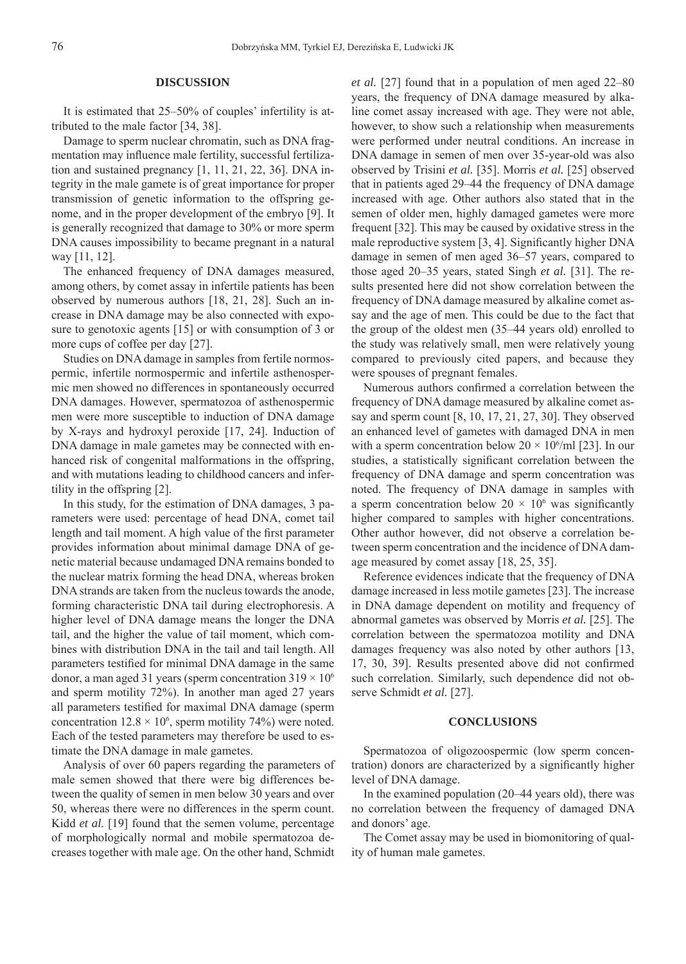### **DISCUSSION**

It is estimated that 25–50% of couples' infertility is attributed to the male factor [34, 38].

Damage to sperm nuclear chromatin, such as DNA fragmentation may influence male fertility, successful fertilization and sustained pregnancy [1, 11, 21, 22, 36]. DNA integrity in the male gamete is of great importance for proper transmission of genetic information to the offspring genome, and in the proper development of the embryo [9]. It is generally recognized that damage to 30% or more sperm DNA causes impossibility to became pregnant in a natural way [11, 12].

The enhanced frequency of DNA damages measured, among others, by comet assay in infertile patients has been observed by numerous authors [18, 21, 28]. Such an increase in DNA damage may be also connected with exposure to genotoxic agents [15] or with consumption of 3 or more cups of coffee per day [27].

Studies on DNA damage in samples from fertile normospermic, infertile normospermic and infertile asthenospermic men showed no differences in spontaneously occurred DNA damages. However, spermatozoa of asthenospermic men were more susceptible to induction of DNA damage by X-rays and hydroxyl peroxide [17, 24]. Induction of DNA damage in male gametes may be connected with enhanced risk of congenital malformations in the offspring, and with mutations leading to childhood cancers and infertility in the offspring [2].

In this study, for the estimation of DNA damages, 3 parameters were used: percentage of head DNA, comet tail length and tail moment. A high value of the first parameter provides information about minimal damage DNA of genetic material because undamaged DNA remains bonded to the nuclear matrix forming the head DNA, whereas broken DNA strands are taken from the nucleus towards the anode, forming characteristic DNA tail during electrophoresis. A higher level of DNA damage means the longer the DNA tail, and the higher the value of tail moment, which combines with distribution DNA in the tail and tail length. All parameters testified for minimal DNA damage in the same donor, a man aged 31 years (sperm concentration  $319 \times 10^6$ ) and sperm motility 72%). In another man aged 27 years all parameters testified for maximal DNA damage (sperm concentration  $12.8 \times 10^6$ , sperm motility 74%) were noted. Each of the tested parameters may therefore be used to estimate the DNA damage in male gametes.

Analysis of over 60 papers regarding the parameters of male semen showed that there were big differences between the quality of semen in men below 30 years and over 50, whereas there were no differences in the sperm count. Kidd *et al.* [19] found that the semen volume, percentage of morphologically normal and mobile spermatozoa decreases together with male age. On the other hand, Schmidt

*et al.* [27] found that in a population of men aged 22–80 years, the frequency of DNA damage measured by alkaline comet assay increased with age. They were not able, however, to show such a relationship when measurements were performed under neutral conditions. An increase in DNA damage in semen of men over 35-year-old was also observed by Trisini *et al.* [35]. Morris *et al.* [25] observed that in patients aged 29–44 the frequency of DNA damage increased with age. Other authors also stated that in the semen of older men, highly damaged gametes were more frequent [32]. This may be caused by oxidative stress in the male reproductive system [3, 4]. Significantly higher DNA damage in semen of men aged 36–57 years, compared to those aged 20–35 years, stated Singh *et al.* [31]. The results presented here did not show correlation between the frequency of DNA damage measured by alkaline comet assay and the age of men. This could be due to the fact that the group of the oldest men (35–44 years old) enrolled to the study was relatively small, men were relatively young compared to previously cited papers, and because they were spouses of pregnant females.

Numerous authors confirmed a correlation between the frequency of DNA damage measured by alkaline comet assay and sperm count [8, 10, 17, 21, 27, 30]. They observed an enhanced level of gametes with damaged DNA in men with a sperm concentration below  $20 \times 10^6$ /ml [23]. In our studies, a statistically significant correlation between the frequency of DNA damage and sperm concentration was noted. The frequency of DNA damage in samples with a sperm concentration below  $20 \times 10^6$  was significantly higher compared to samples with higher concentrations. Other author however, did not observe a correlation between sperm concentration and the incidence of DNA damage measured by comet assay [18, 25, 35].

Reference evidences indicate that the frequency of DNA damage increased in less motile gametes [23]. The increase in DNA damage dependent on motility and frequency of abnormal gametes was observed by Morris *et al.* [25]. The correlation between the spermatozoa motility and DNA damages frequency was also noted by other authors [13, 17, 30, 39]. Results presented above did not confirmed such correlation. Similarly, such dependence did not observe Schmidt *et al.* [27].

# **CONCLUSIONS**

Spermatozoa of oligozoospermic (low sperm concentration) donors are characterized by a significantly higher level of DNA damage.

In the examined population (20–44 years old), there was no correlation between the frequency of damaged DNA and donors' age.

The Comet assay may be used in biomonitoring of quality of human male gametes.